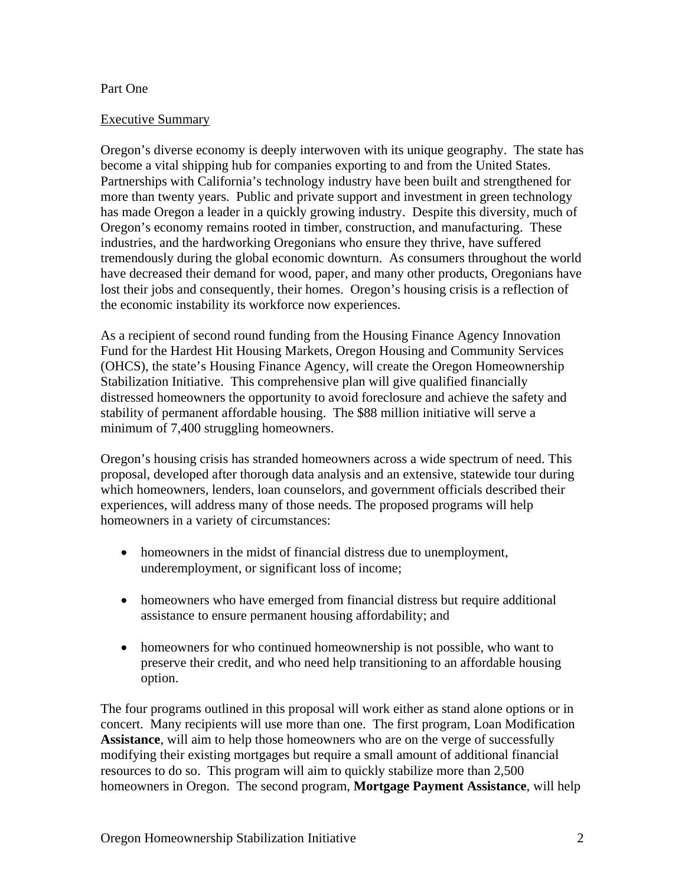### Part One

#### Executive Summary

Oregon's diverse economy is deeply interwoven with its unique geography. The state has become a vital shipping hub for companies exporting to and from the United States. Partnerships with California's technology industry have been built and strengthened for more than twenty years. Public and private support and investment in green technology has made Oregon a leader in a quickly growing industry. Despite this diversity, much of Oregon's economy remains rooted in timber, construction, and manufacturing. These industries, and the hardworking Oregonians who ensure they thrive, have suffered tremendously during the global economic downturn. As consumers throughout the world have decreased their demand for wood, paper, and many other products, Oregonians have lost their jobs and consequently, their homes. Oregon's housing crisis is a reflection of the economic instability its workforce now experiences.

As a recipient of second round funding from the Housing Finance Agency Innovation Fund for the Hardest Hit Housing Markets, Oregon Housing and Community Services (OHCS), the state's Housing Finance Agency, will create the Oregon Homeownership Stabilization Initiative. This comprehensive plan will give qualified financially distressed homeowners the opportunity to avoid foreclosure and achieve the safety and stability of permanent affordable housing. The \$88 million initiative will serve a minimum of 7,400 struggling homeowners.

Oregon's housing crisis has stranded homeowners across a wide spectrum of need. This proposal, developed after thorough data analysis and an extensive, statewide tour during which homeowners, lenders, loan counselors, and government officials described their experiences, will address many of those needs. The proposed programs will help homeowners in a variety of circumstances:

- homeowners in the midst of financial distress due to unemployment, underemployment, or significant loss of income;
- homeowners who have emerged from financial distress but require additional assistance to ensure permanent housing affordability; and
- homeowners for who continued homeownership is not possible, who want to preserve their credit, and who need help transitioning to an affordable housing option.

The four programs outlined in this proposal will work either as stand alone options or in concert. Many recipients will use more than one. The first program, Loan Modification **Assistance**, will aim to help those homeowners who are on the verge of successfully modifying their existing mortgages but require a small amount of additional financial resources to do so. This program will aim to quickly stabilize more than 2,500 homeowners in Oregon. The second program, **Mortgage Payment Assistance**, will help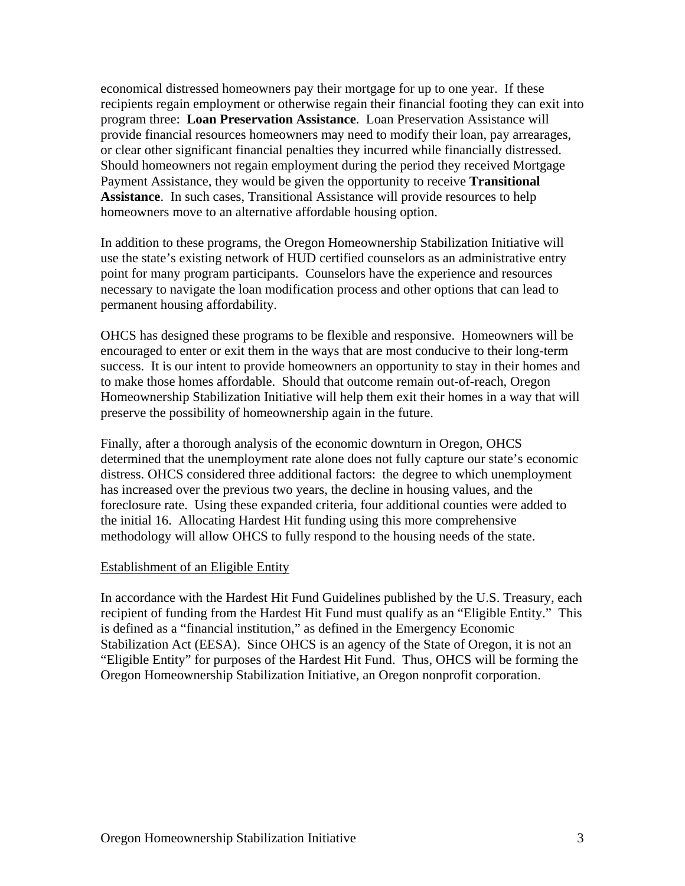economical distressed homeowners pay their mortgage for up to one year. If these recipients regain employment or otherwise regain their financial footing they can exit into program three: **Loan Preservation Assistance**. Loan Preservation Assistance will provide financial resources homeowners may need to modify their loan, pay arrearages, or clear other significant financial penalties they incurred while financially distressed. Should homeowners not regain employment during the period they received Mortgage Payment Assistance, they would be given the opportunity to receive **Transitional Assistance**. In such cases, Transitional Assistance will provide resources to help homeowners move to an alternative affordable housing option.

In addition to these programs, the Oregon Homeownership Stabilization Initiative will use the state's existing network of HUD certified counselors as an administrative entry point for many program participants. Counselors have the experience and resources necessary to navigate the loan modification process and other options that can lead to permanent housing affordability.

OHCS has designed these programs to be flexible and responsive. Homeowners will be encouraged to enter or exit them in the ways that are most conducive to their long-term success. It is our intent to provide homeowners an opportunity to stay in their homes and to make those homes affordable. Should that outcome remain out-of-reach, Oregon Homeownership Stabilization Initiative will help them exit their homes in a way that will preserve the possibility of homeownership again in the future.

Finally, after a thorough analysis of the economic downturn in Oregon, OHCS determined that the unemployment rate alone does not fully capture our state's economic distress. OHCS considered three additional factors: the degree to which unemployment has increased over the previous two years, the decline in housing values, and the foreclosure rate. Using these expanded criteria, four additional counties were added to the initial 16. Allocating Hardest Hit funding using this more comprehensive methodology will allow OHCS to fully respond to the housing needs of the state.

#### Establishment of an Eligible Entity

In accordance with the Hardest Hit Fund Guidelines published by the U.S. Treasury, each recipient of funding from the Hardest Hit Fund must qualify as an "Eligible Entity." This is defined as a "financial institution," as defined in the Emergency Economic Stabilization Act (EESA). Since OHCS is an agency of the State of Oregon, it is not an "Eligible Entity" for purposes of the Hardest Hit Fund. Thus, OHCS will be forming the Oregon Homeownership Stabilization Initiative, an Oregon nonprofit corporation.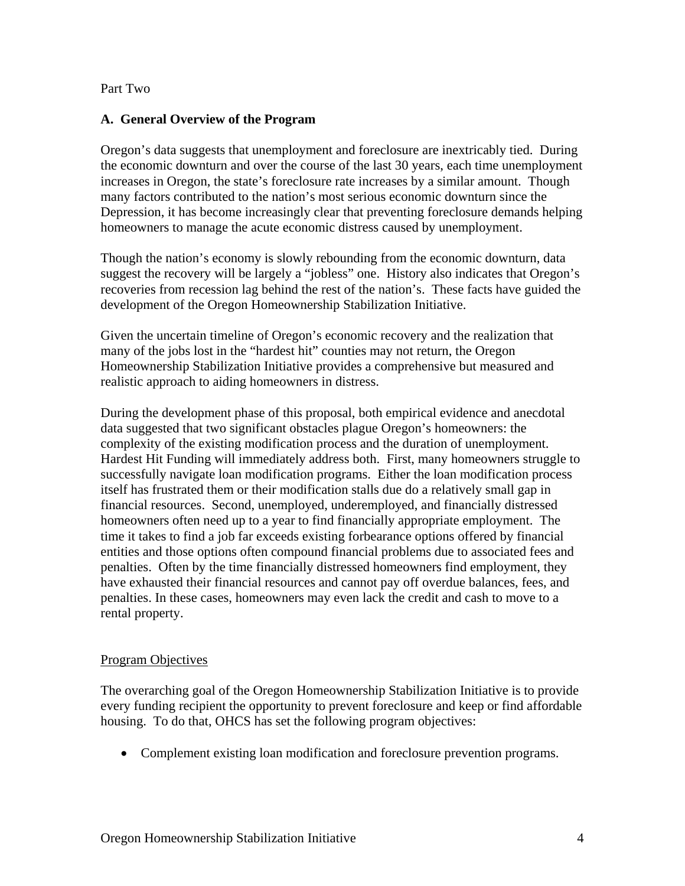Part Two

### **A. General Overview of the Program**

Oregon's data suggests that unemployment and foreclosure are inextricably tied. During the economic downturn and over the course of the last 30 years, each time unemployment increases in Oregon, the state's foreclosure rate increases by a similar amount. Though many factors contributed to the nation's most serious economic downturn since the Depression, it has become increasingly clear that preventing foreclosure demands helping homeowners to manage the acute economic distress caused by unemployment.

Though the nation's economy is slowly rebounding from the economic downturn, data suggest the recovery will be largely a "jobless" one. History also indicates that Oregon's recoveries from recession lag behind the rest of the nation's. These facts have guided the development of the Oregon Homeownership Stabilization Initiative.

Given the uncertain timeline of Oregon's economic recovery and the realization that many of the jobs lost in the "hardest hit" counties may not return, the Oregon Homeownership Stabilization Initiative provides a comprehensive but measured and realistic approach to aiding homeowners in distress.

During the development phase of this proposal, both empirical evidence and anecdotal data suggested that two significant obstacles plague Oregon's homeowners: the complexity of the existing modification process and the duration of unemployment. Hardest Hit Funding will immediately address both. First, many homeowners struggle to successfully navigate loan modification programs. Either the loan modification process itself has frustrated them or their modification stalls due do a relatively small gap in financial resources. Second, unemployed, underemployed, and financially distressed homeowners often need up to a year to find financially appropriate employment. The time it takes to find a job far exceeds existing forbearance options offered by financial entities and those options often compound financial problems due to associated fees and penalties. Often by the time financially distressed homeowners find employment, they have exhausted their financial resources and cannot pay off overdue balances, fees, and penalties. In these cases, homeowners may even lack the credit and cash to move to a rental property.

## Program Objectives

The overarching goal of the Oregon Homeownership Stabilization Initiative is to provide every funding recipient the opportunity to prevent foreclosure and keep or find affordable housing. To do that, OHCS has set the following program objectives:

Complement existing loan modification and foreclosure prevention programs.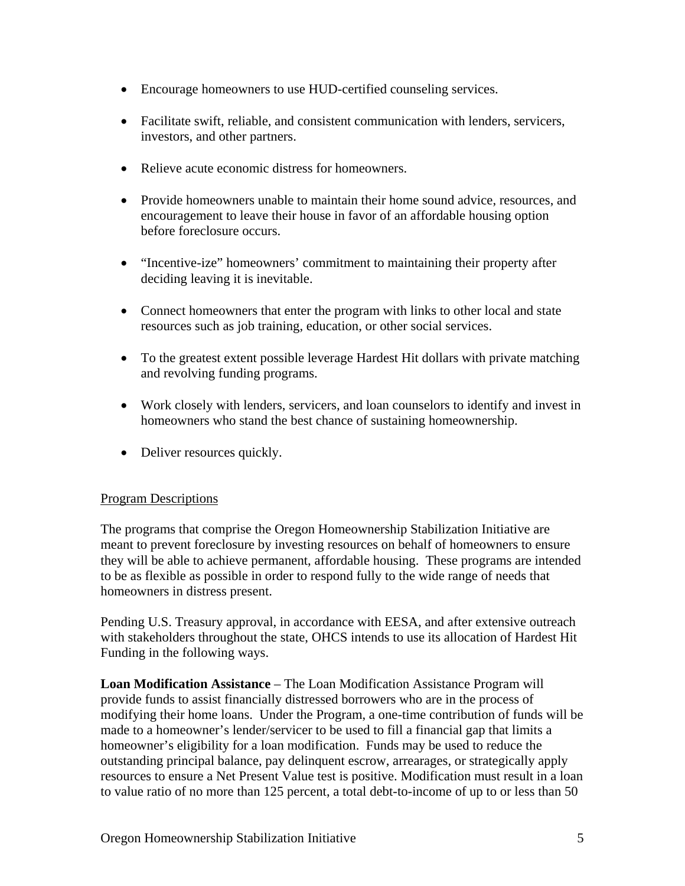- Encourage homeowners to use HUD-certified counseling services.
- Facilitate swift, reliable, and consistent communication with lenders, servicers, investors, and other partners.
- Relieve acute economic distress for homeowners.
- Provide homeowners unable to maintain their home sound advice, resources, and encouragement to leave their house in favor of an affordable housing option before foreclosure occurs.
- "Incentive-ize" homeowners' commitment to maintaining their property after deciding leaving it is inevitable.
- Connect homeowners that enter the program with links to other local and state resources such as job training, education, or other social services.
- To the greatest extent possible leverage Hardest Hit dollars with private matching and revolving funding programs.
- Work closely with lenders, servicers, and loan counselors to identify and invest in homeowners who stand the best chance of sustaining homeownership.
- Deliver resources quickly.

## Program Descriptions

The programs that comprise the Oregon Homeownership Stabilization Initiative are meant to prevent foreclosure by investing resources on behalf of homeowners to ensure they will be able to achieve permanent, affordable housing. These programs are intended to be as flexible as possible in order to respond fully to the wide range of needs that homeowners in distress present.

Pending U.S. Treasury approval, in accordance with EESA, and after extensive outreach with stakeholders throughout the state, OHCS intends to use its allocation of Hardest Hit Funding in the following ways.

**Loan Modification Assistance** – The Loan Modification Assistance Program will provide funds to assist financially distressed borrowers who are in the process of modifying their home loans. Under the Program, a one-time contribution of funds will be made to a homeowner's lender/servicer to be used to fill a financial gap that limits a homeowner's eligibility for a loan modification. Funds may be used to reduce the outstanding principal balance, pay delinquent escrow, arrearages, or strategically apply resources to ensure a Net Present Value test is positive. Modification must result in a loan to value ratio of no more than 125 percent, a total debt-to-income of up to or less than 50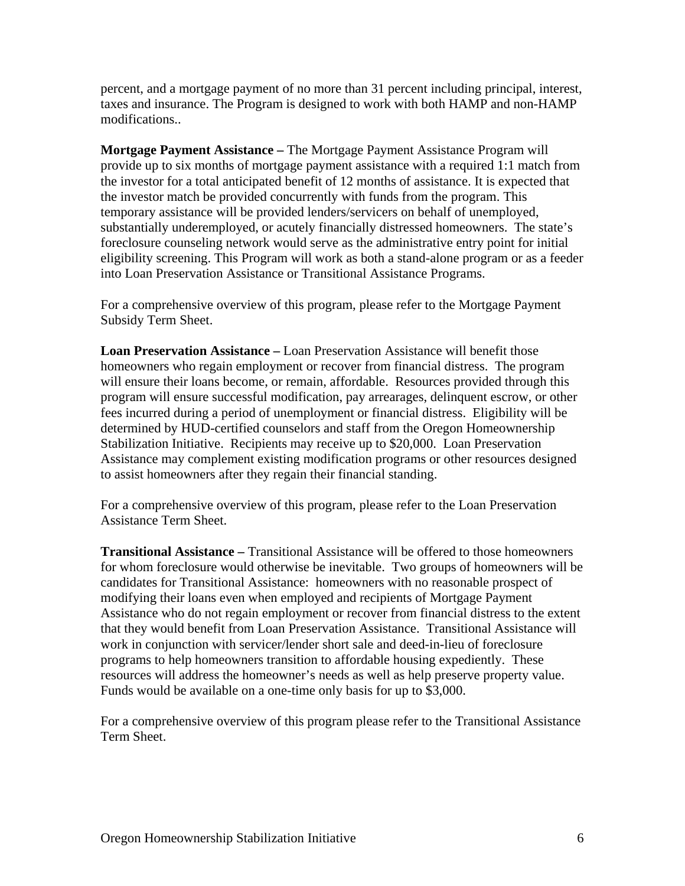percent, and a mortgage payment of no more than 31 percent including principal, interest, taxes and insurance. The Program is designed to work with both HAMP and non-HAMP modifications..

**Mortgage Payment Assistance –** The Mortgage Payment Assistance Program will provide up to six months of mortgage payment assistance with a required 1:1 match from the investor for a total anticipated benefit of 12 months of assistance. It is expected that the investor match be provided concurrently with funds from the program. This temporary assistance will be provided lenders/servicers on behalf of unemployed, substantially underemployed, or acutely financially distressed homeowners. The state's foreclosure counseling network would serve as the administrative entry point for initial eligibility screening. This Program will work as both a stand-alone program or as a feeder into Loan Preservation Assistance or Transitional Assistance Programs.

For a comprehensive overview of this program, please refer to the Mortgage Payment Subsidy Term Sheet.

**Loan Preservation Assistance –** Loan Preservation Assistance will benefit those homeowners who regain employment or recover from financial distress. The program will ensure their loans become, or remain, affordable. Resources provided through this program will ensure successful modification, pay arrearages, delinquent escrow, or other fees incurred during a period of unemployment or financial distress.Eligibility will be determined by HUD-certified counselors and staff from the Oregon Homeownership Stabilization Initiative. Recipients may receive up to \$20,000. Loan Preservation Assistance may complement existing modification programs or other resources designed to assist homeowners after they regain their financial standing.

For a comprehensive overview of this program, please refer to the Loan Preservation Assistance Term Sheet.

**Transitional Assistance –** Transitional Assistance will be offered to those homeowners for whom foreclosure would otherwise be inevitable. Two groups of homeowners will be candidates for Transitional Assistance: homeowners with no reasonable prospect of modifying their loans even when employed and recipients of Mortgage Payment Assistance who do not regain employment or recover from financial distress to the extent that they would benefit from Loan Preservation Assistance. Transitional Assistance will work in conjunction with servicer/lender short sale and deed-in-lieu of foreclosure programs to help homeowners transition to affordable housing expediently. These resources will address the homeowner's needs as well as help preserve property value. Funds would be available on a one-time only basis for up to \$3,000.

For a comprehensive overview of this program please refer to the Transitional Assistance Term Sheet.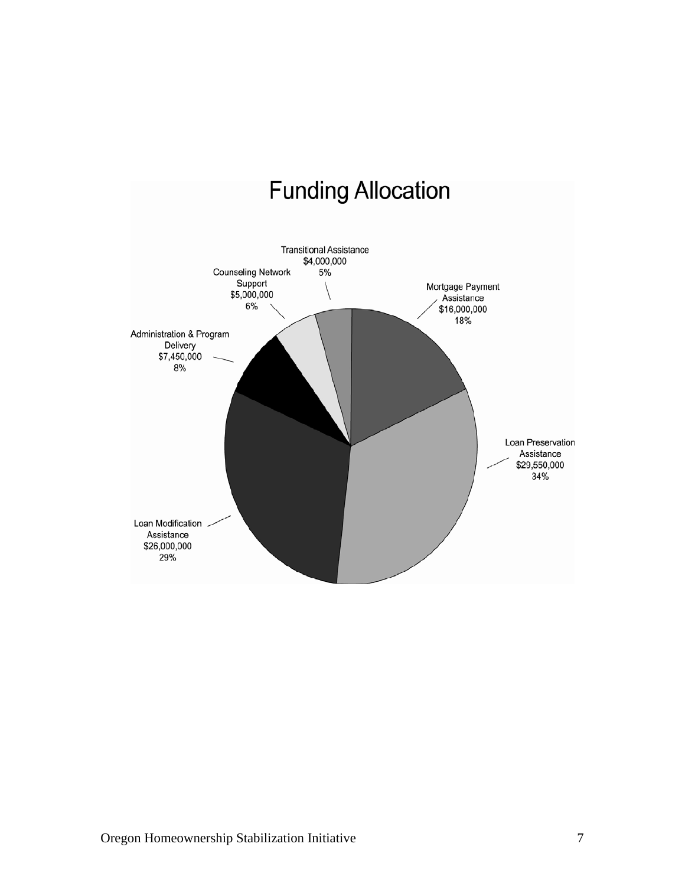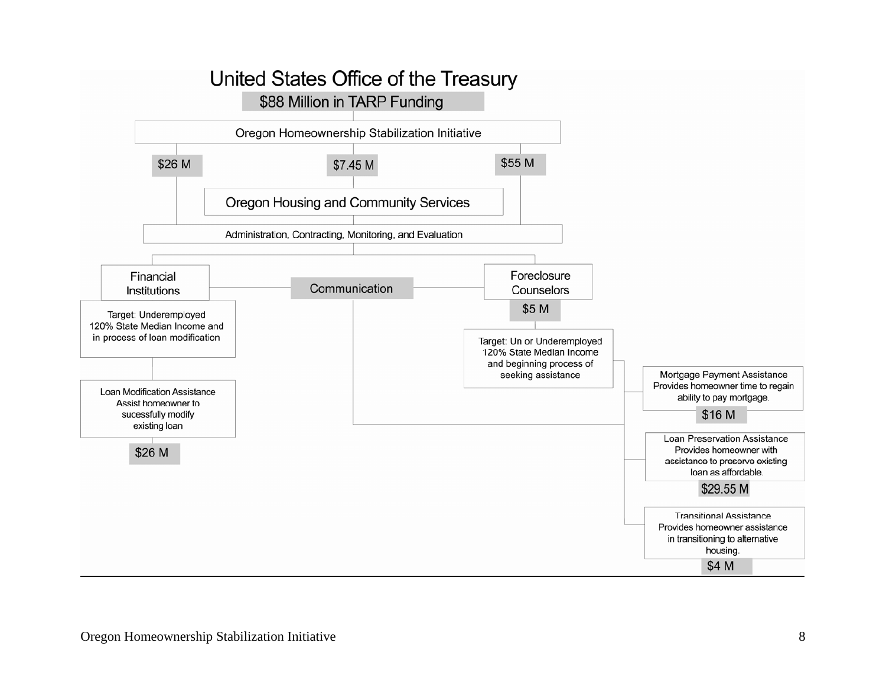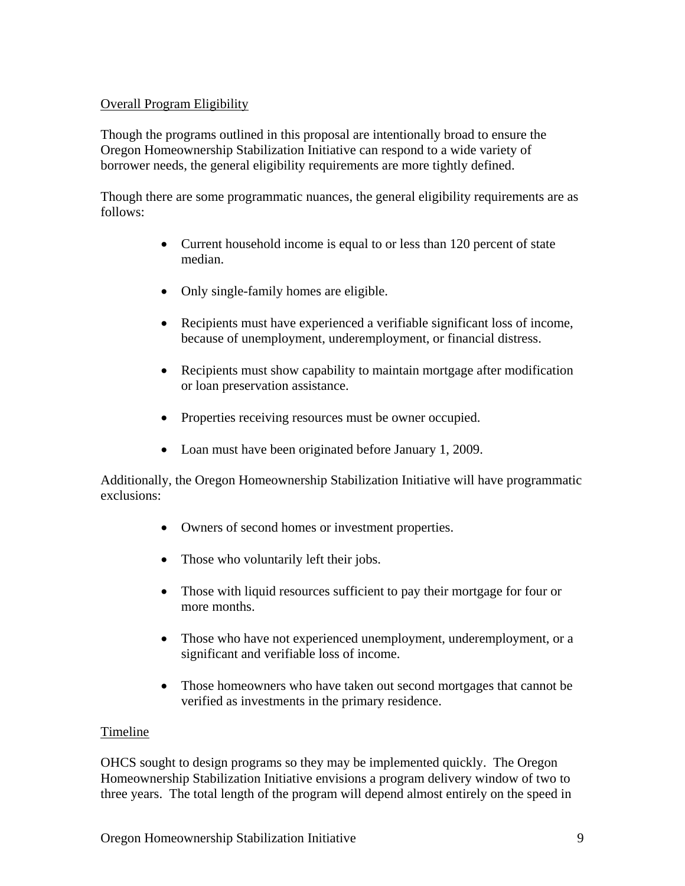## Overall Program Eligibility

Though the programs outlined in this proposal are intentionally broad to ensure the Oregon Homeownership Stabilization Initiative can respond to a wide variety of borrower needs, the general eligibility requirements are more tightly defined.

Though there are some programmatic nuances, the general eligibility requirements are as follows:

- Current household income is equal to or less than 120 percent of state median.
- Only single-family homes are eligible.
- Recipients must have experienced a verifiable significant loss of income, because of unemployment, underemployment, or financial distress.
- Recipients must show capability to maintain mortgage after modification or loan preservation assistance.
- Properties receiving resources must be owner occupied.
- Loan must have been originated before January 1, 2009.

Additionally, the Oregon Homeownership Stabilization Initiative will have programmatic exclusions:

- Owners of second homes or investment properties.
- Those who voluntarily left their jobs.
- Those with liquid resources sufficient to pay their mortgage for four or more months.
- Those who have not experienced unemployment, underemployment, or a significant and verifiable loss of income.
- Those homeowners who have taken out second mortgages that cannot be verified as investments in the primary residence.

## Timeline

OHCS sought to design programs so they may be implemented quickly. The Oregon Homeownership Stabilization Initiative envisions a program delivery window of two to three years. The total length of the program will depend almost entirely on the speed in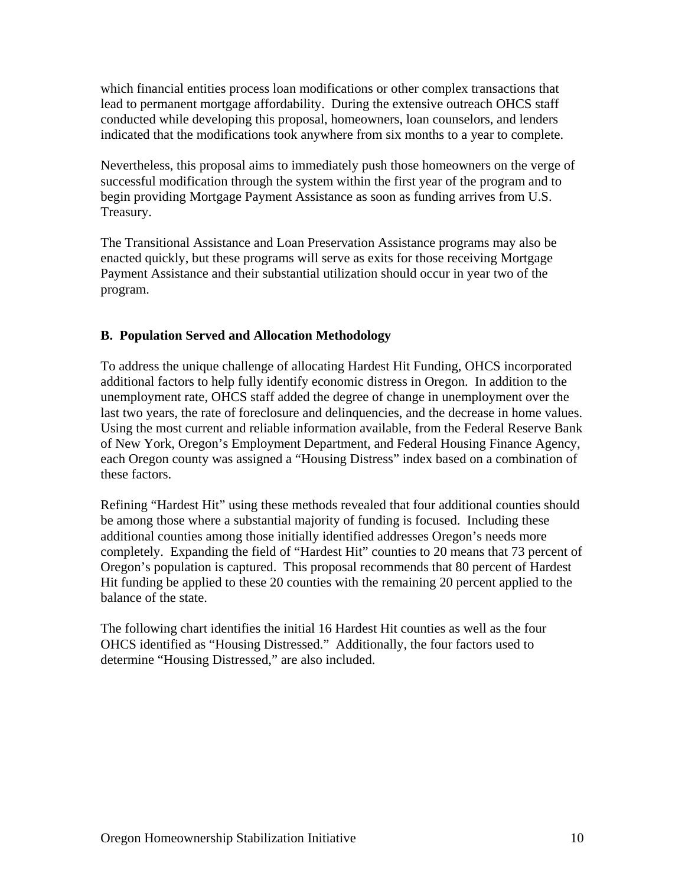which financial entities process loan modifications or other complex transactions that lead to permanent mortgage affordability. During the extensive outreach OHCS staff conducted while developing this proposal, homeowners, loan counselors, and lenders indicated that the modifications took anywhere from six months to a year to complete.

Nevertheless, this proposal aims to immediately push those homeowners on the verge of successful modification through the system within the first year of the program and to begin providing Mortgage Payment Assistance as soon as funding arrives from U.S. Treasury.

The Transitional Assistance and Loan Preservation Assistance programs may also be enacted quickly, but these programs will serve as exits for those receiving Mortgage Payment Assistance and their substantial utilization should occur in year two of the program.

## **B. Population Served and Allocation Methodology**

To address the unique challenge of allocating Hardest Hit Funding, OHCS incorporated additional factors to help fully identify economic distress in Oregon. In addition to the unemployment rate, OHCS staff added the degree of change in unemployment over the last two years, the rate of foreclosure and delinquencies, and the decrease in home values. Using the most current and reliable information available, from the Federal Reserve Bank of New York, Oregon's Employment Department, and Federal Housing Finance Agency, each Oregon county was assigned a "Housing Distress" index based on a combination of these factors.

Refining "Hardest Hit" using these methods revealed that four additional counties should be among those where a substantial majority of funding is focused. Including these additional counties among those initially identified addresses Oregon's needs more completely. Expanding the field of "Hardest Hit" counties to 20 means that 73 percent of Oregon's population is captured. This proposal recommends that 80 percent of Hardest Hit funding be applied to these 20 counties with the remaining 20 percent applied to the balance of the state.

The following chart identifies the initial 16 Hardest Hit counties as well as the four OHCS identified as "Housing Distressed." Additionally, the four factors used to determine "Housing Distressed," are also included.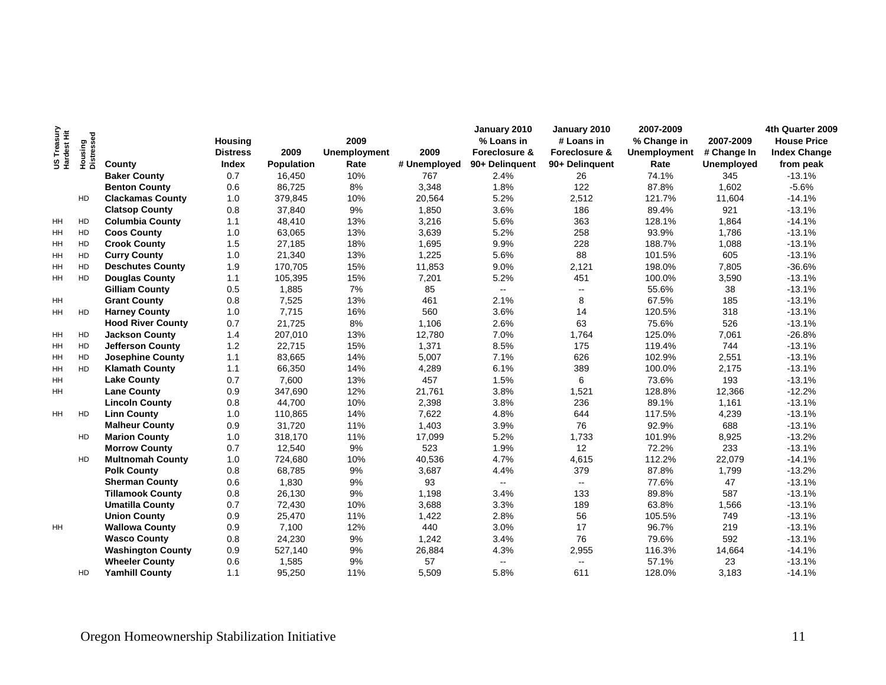|                            |                       |                          |                 |                   |                     |              | January 2010   | January 2010   | 2007-2009           |                   | 4th Quarter 2009    |
|----------------------------|-----------------------|--------------------------|-----------------|-------------------|---------------------|--------------|----------------|----------------|---------------------|-------------------|---------------------|
| US Treasury<br>Hardest Hit |                       |                          | <b>Housing</b>  |                   | 2009                |              | % Loans in     | # Loans in     | % Change in         | 2007-2009         | <b>House Price</b>  |
|                            | Housing<br>Distressed |                          | <b>Distress</b> | 2009              | <b>Unemployment</b> | 2009         | Foreclosure &  | Foreclosure &  | <b>Unemployment</b> | # Change In       | <b>Index Change</b> |
|                            |                       | County                   | Index           | <b>Population</b> | Rate                | # Unemployed | 90+ Delinguent | 90+ Delinquent | Rate                | <b>Unemployed</b> | from peak           |
|                            |                       | <b>Baker County</b>      | 0.7             | 16,450            | 10%                 | 767          | 2.4%           | 26             | 74.1%               | 345               | $-13.1%$            |
|                            |                       | <b>Benton County</b>     | 0.6             | 86,725            | 8%                  | 3,348        | 1.8%           | 122            | 87.8%               | 1,602             | $-5.6%$             |
|                            | HD                    | <b>Clackamas County</b>  | 1.0             | 379,845           | 10%                 | 20,564       | 5.2%           | 2,512          | 121.7%              | 11,604            | $-14.1%$            |
|                            |                       | <b>Clatsop County</b>    | 0.8             | 37,840            | 9%                  | 1,850        | 3.6%           | 186            | 89.4%               | 921               | $-13.1%$            |
| HH                         | HD                    | <b>Columbia County</b>   | 1.1             | 48,410            | 13%                 | 3,216        | 5.6%           | 363            | 128.1%              | 1,864             | $-14.1%$            |
| HH                         | HD                    | <b>Coos County</b>       | 1.0             | 63,065            | 13%                 | 3,639        | 5.2%           | 258            | 93.9%               | 1,786             | $-13.1%$            |
| HH                         | HD                    | <b>Crook County</b>      | 1.5             | 27,185            | 18%                 | 1,695        | 9.9%           | 228            | 188.7%              | 1,088             | $-13.1%$            |
| HH                         | HD                    | <b>Curry County</b>      | 1.0             | 21,340            | 13%                 | 1,225        | 5.6%           | 88             | 101.5%              | 605               | $-13.1%$            |
| HH                         | HD                    | <b>Deschutes County</b>  | 1.9             | 170,705           | 15%                 | 11,853       | 9.0%           | 2,121          | 198.0%              | 7,805             | $-36.6%$            |
| HH.                        | HD                    | <b>Douglas County</b>    | 1.1             | 105,395           | 15%                 | 7,201        | 5.2%           | 451            | 100.0%              | 3,590             | $-13.1%$            |
|                            |                       | <b>Gilliam County</b>    | 0.5             | 1,885             | 7%                  | 85           | н.             | $\sim$         | 55.6%               | 38                | $-13.1%$            |
| HH                         |                       | <b>Grant County</b>      | 0.8             | 7,525             | 13%                 | 461          | 2.1%           | 8              | 67.5%               | 185               | $-13.1%$            |
| HH                         | HD                    | <b>Harney County</b>     | 1.0             | 7,715             | 16%                 | 560          | 3.6%           | 14             | 120.5%              | 318               | $-13.1%$            |
|                            |                       | <b>Hood River County</b> | 0.7             | 21,725            | 8%                  | 1,106        | 2.6%           | 63             | 75.6%               | 526               | $-13.1%$            |
| HH                         | HD                    | <b>Jackson County</b>    | 1.4             | 207,010           | 13%                 | 12,780       | 7.0%           | 1,764          | 125.0%              | 7,061             | $-26.8%$            |
| HH                         | HD                    | <b>Jefferson County</b>  | 1.2             | 22,715            | 15%                 | 1,371        | 8.5%           | 175            | 119.4%              | 744               | $-13.1%$            |
| HH                         | HD                    | <b>Josephine County</b>  | 1.1             | 83,665            | 14%                 | 5,007        | 7.1%           | 626            | 102.9%              | 2,551             | $-13.1%$            |
| <b>HH</b>                  | HD                    | <b>Klamath County</b>    | 1.1             | 66,350            | 14%                 | 4,289        | 6.1%           | 389            | 100.0%              | 2,175             | $-13.1%$            |
| <b>HH</b>                  |                       | <b>Lake County</b>       | 0.7             | 7,600             | 13%                 | 457          | 1.5%           | 6              | 73.6%               | 193               | $-13.1%$            |
| HH                         |                       | <b>Lane County</b>       | 0.9             | 347,690           | 12%                 | 21,761       | 3.8%           | 1,521          | 128.8%              | 12,366            | $-12.2%$            |
|                            |                       | <b>Lincoln County</b>    | 0.8             | 44,700            | 10%                 | 2,398        | 3.8%           | 236            | 89.1%               | 1,161             | $-13.1%$            |
| <b>HH</b>                  | HD                    | <b>Linn County</b>       | 1.0             | 110,865           | 14%                 | 7,622        | 4.8%           | 644            | 117.5%              | 4,239             | $-13.1%$            |
|                            |                       | <b>Malheur County</b>    | 0.9             | 31,720            | 11%                 | 1,403        | 3.9%           | 76             | 92.9%               | 688               | $-13.1%$            |
|                            | HD.                   | <b>Marion County</b>     | 1.0             | 318,170           | 11%                 | 17,099       | 5.2%           | 1,733          | 101.9%              | 8,925             | $-13.2%$            |
|                            |                       | <b>Morrow County</b>     | 0.7             | 12,540            | 9%                  | 523          | 1.9%           | 12             | 72.2%               | 233               | $-13.1%$            |
|                            | HD.                   | <b>Multnomah County</b>  | 1.0             | 724,680           | 10%                 | 40,536       | 4.7%           | 4,615          | 112.2%              | 22,079            | $-14.1%$            |
|                            |                       | <b>Polk County</b>       | 0.8             | 68,785            | 9%                  | 3,687        | 4.4%           | 379            | 87.8%               | 1,799             | $-13.2%$            |
|                            |                       | <b>Sherman County</b>    | 0.6             | 1,830             | 9%                  | 93           | $\sim$         | $\sim$         | 77.6%               | 47                | $-13.1%$            |
|                            |                       | <b>Tillamook County</b>  | 0.8             | 26,130            | 9%                  | 1,198        | 3.4%           | 133            | 89.8%               | 587               | $-13.1%$            |
|                            |                       | <b>Umatilla County</b>   | 0.7             | 72,430            | 10%                 | 3,688        | 3.3%           | 189            | 63.8%               | 1,566             | $-13.1%$            |
|                            |                       | <b>Union County</b>      | 0.9             | 25,470            | 11%                 | 1,422        | 2.8%           | 56             | 105.5%              | 749               | $-13.1%$            |
| HH                         |                       | <b>Wallowa County</b>    | 0.9             | 7,100             | 12%                 | 440          | 3.0%           | 17             | 96.7%               | 219               | $-13.1%$            |
|                            |                       | <b>Wasco County</b>      | 0.8             | 24,230            | 9%                  | 1,242        | 3.4%           | 76             | 79.6%               | 592               | $-13.1%$            |
|                            |                       | <b>Washington County</b> | 0.9             | 527,140           | 9%                  | 26,884       | 4.3%           | 2,955          | 116.3%              | 14,664            | $-14.1%$            |
|                            |                       | <b>Wheeler County</b>    | 0.6             | 1,585             | 9%                  | 57           | н.             | $\sim$ $\sim$  | 57.1%               | 23                | $-13.1%$            |
|                            | HD                    | <b>Yamhill County</b>    | 1.1             | 95.250            | 11%                 | 5,509        | 5.8%           | 611            | 128.0%              | 3,183             | $-14.1%$            |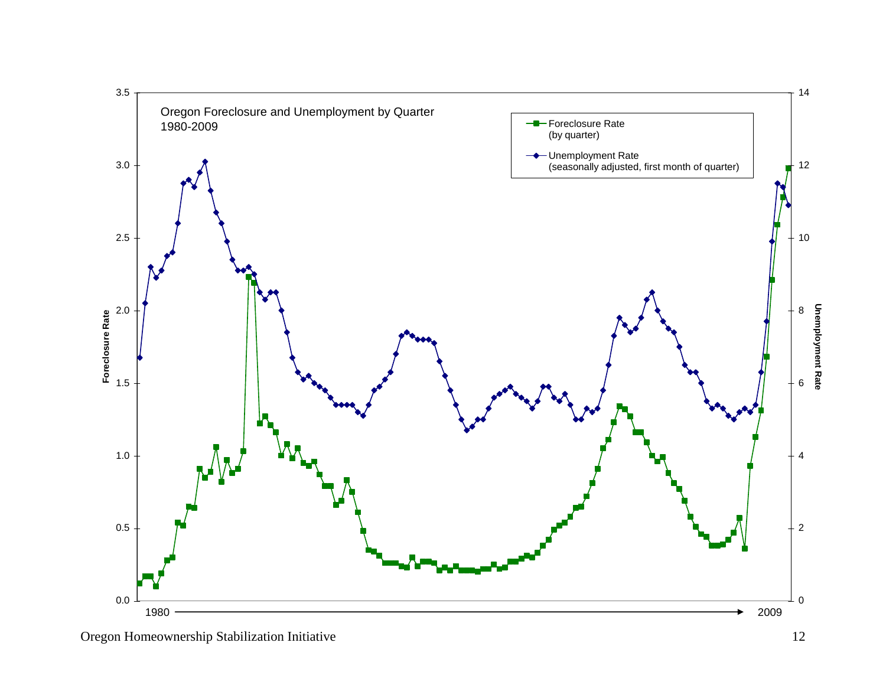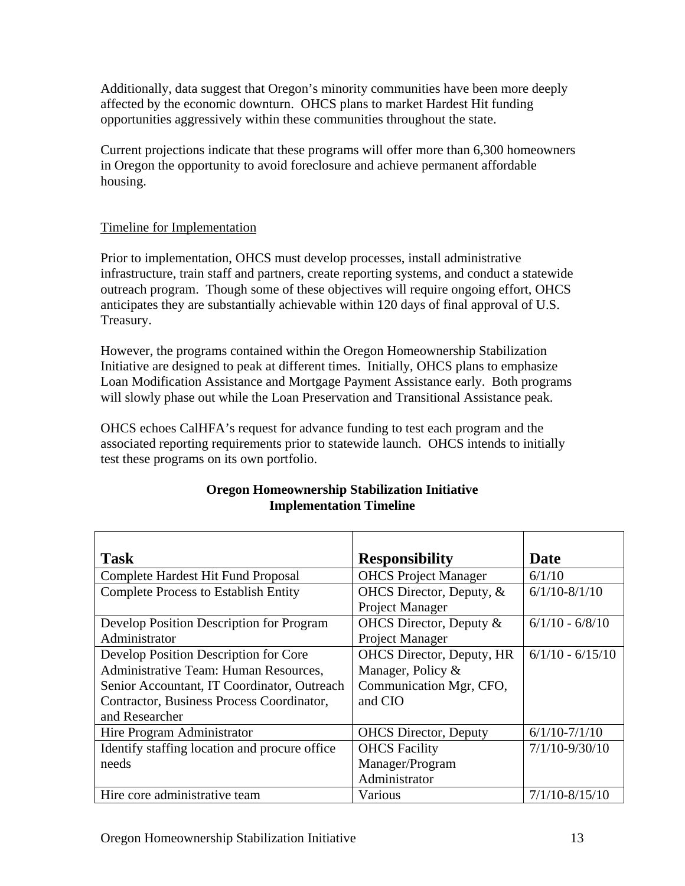Additionally, data suggest that Oregon's minority communities have been more deeply affected by the economic downturn. OHCS plans to market Hardest Hit funding opportunities aggressively within these communities throughout the state.

Current projections indicate that these programs will offer more than 6,300 homeowners in Oregon the opportunity to avoid foreclosure and achieve permanent affordable housing.

# Timeline for Implementation

Prior to implementation, OHCS must develop processes, install administrative infrastructure, train staff and partners, create reporting systems, and conduct a statewide outreach program. Though some of these objectives will require ongoing effort, OHCS anticipates they are substantially achievable within 120 days of final approval of U.S. Treasury.

However, the programs contained within the Oregon Homeownership Stabilization Initiative are designed to peak at different times. Initially, OHCS plans to emphasize Loan Modification Assistance and Mortgage Payment Assistance early. Both programs will slowly phase out while the Loan Preservation and Transitional Assistance peak.

OHCS echoes CalHFA's request for advance funding to test each program and the associated reporting requirements prior to statewide launch. OHCS intends to initially test these programs on its own portfolio.

| <b>Task</b>                                   | <b>Responsibility</b>            | Date               |
|-----------------------------------------------|----------------------------------|--------------------|
| Complete Hardest Hit Fund Proposal            | <b>OHCS</b> Project Manager      | 6/1/10             |
| <b>Complete Process to Establish Entity</b>   | OHCS Director, Deputy, &         | $6/1/10 - 8/1/10$  |
|                                               | Project Manager                  |                    |
| Develop Position Description for Program      | OHCS Director, Deputy &          | $6/1/10 - 6/8/10$  |
| Administrator                                 | Project Manager                  |                    |
| Develop Position Description for Core         | <b>OHCS</b> Director, Deputy, HR | $6/1/10 - 6/15/10$ |
| Administrative Team: Human Resources,         | Manager, Policy &                |                    |
| Senior Accountant, IT Coordinator, Outreach   | Communication Mgr, CFO,          |                    |
| Contractor, Business Process Coordinator,     | and CIO                          |                    |
| and Researcher                                |                                  |                    |
| Hire Program Administrator                    | <b>OHCS</b> Director, Deputy     | $6/1/10-7/1/10$    |
| Identify staffing location and procure office | <b>OHCS</b> Facility             | $7/1/10 - 9/30/10$ |
| needs                                         | Manager/Program                  |                    |
|                                               | Administrator                    |                    |
| Hire core administrative team                 | Various                          | $7/1/10 - 8/15/10$ |

# **Oregon Homeownership Stabilization Initiative Implementation Timeline**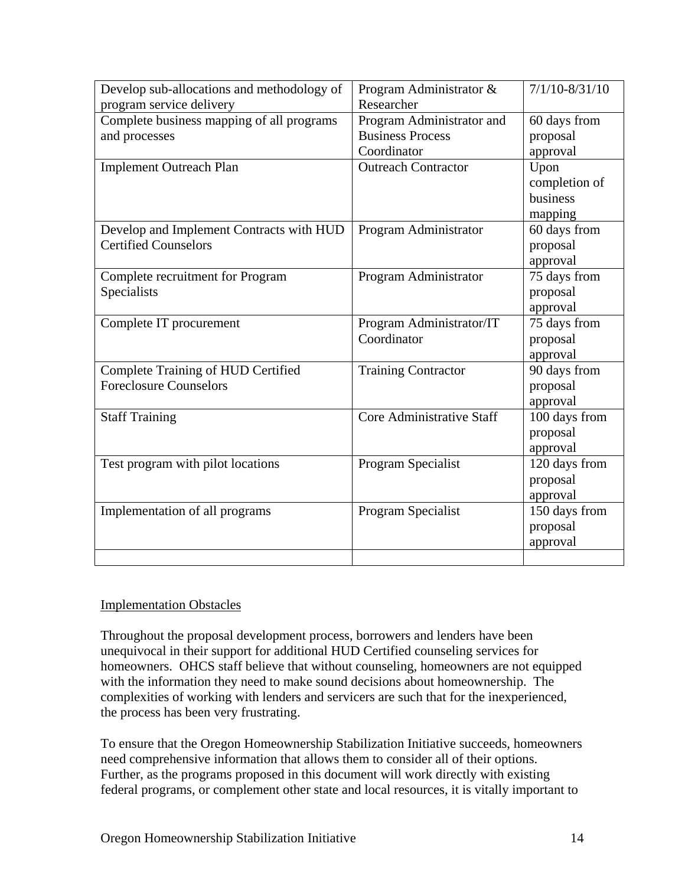| Develop sub-allocations and methodology of<br>program service delivery  | Program Administrator &<br>Researcher                               | $7/1/10 - 8/31/10$                           |
|-------------------------------------------------------------------------|---------------------------------------------------------------------|----------------------------------------------|
| Complete business mapping of all programs<br>and processes              | Program Administrator and<br><b>Business Process</b><br>Coordinator | 60 days from<br>proposal<br>approval         |
| <b>Implement Outreach Plan</b>                                          | <b>Outreach Contractor</b>                                          | Upon<br>completion of<br>business<br>mapping |
| Develop and Implement Contracts with HUD<br><b>Certified Counselors</b> | Program Administrator                                               | 60 days from<br>proposal<br>approval         |
| Complete recruitment for Program<br>Specialists                         | Program Administrator                                               | 75 days from<br>proposal<br>approval         |
| Complete IT procurement                                                 | Program Administrator/IT<br>Coordinator                             | 75 days from<br>proposal<br>approval         |
| Complete Training of HUD Certified<br><b>Foreclosure Counselors</b>     | <b>Training Contractor</b>                                          | 90 days from<br>proposal<br>approval         |
| <b>Staff Training</b>                                                   | Core Administrative Staff                                           | 100 days from<br>proposal<br>approval        |
| Test program with pilot locations                                       | Program Specialist                                                  | 120 days from<br>proposal<br>approval        |
| Implementation of all programs                                          | Program Specialist                                                  | 150 days from<br>proposal<br>approval        |

## Implementation Obstacles

Throughout the proposal development process, borrowers and lenders have been unequivocal in their support for additional HUD Certified counseling services for homeowners. OHCS staff believe that without counseling, homeowners are not equipped with the information they need to make sound decisions about homeownership. The complexities of working with lenders and servicers are such that for the inexperienced, the process has been very frustrating.

To ensure that the Oregon Homeownership Stabilization Initiative succeeds, homeowners need comprehensive information that allows them to consider all of their options. Further, as the programs proposed in this document will work directly with existing federal programs, or complement other state and local resources, it is vitally important to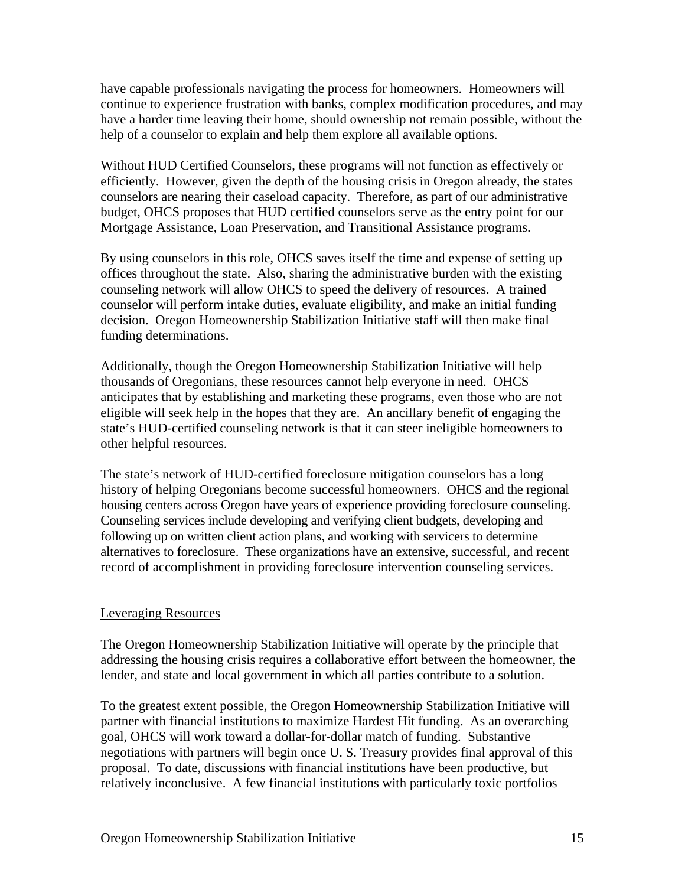have capable professionals navigating the process for homeowners. Homeowners will continue to experience frustration with banks, complex modification procedures, and may have a harder time leaving their home, should ownership not remain possible, without the help of a counselor to explain and help them explore all available options.

Without HUD Certified Counselors, these programs will not function as effectively or efficiently. However, given the depth of the housing crisis in Oregon already, the states counselors are nearing their caseload capacity. Therefore, as part of our administrative budget, OHCS proposes that HUD certified counselors serve as the entry point for our Mortgage Assistance, Loan Preservation, and Transitional Assistance programs.

By using counselors in this role, OHCS saves itself the time and expense of setting up offices throughout the state. Also, sharing the administrative burden with the existing counseling network will allow OHCS to speed the delivery of resources. A trained counselor will perform intake duties, evaluate eligibility, and make an initial funding decision. Oregon Homeownership Stabilization Initiative staff will then make final funding determinations.

Additionally, though the Oregon Homeownership Stabilization Initiative will help thousands of Oregonians, these resources cannot help everyone in need. OHCS anticipates that by establishing and marketing these programs, even those who are not eligible will seek help in the hopes that they are. An ancillary benefit of engaging the state's HUD-certified counseling network is that it can steer ineligible homeowners to other helpful resources.

The state's network of HUD-certified foreclosure mitigation counselors has a long history of helping Oregonians become successful homeowners. OHCS and the regional housing centers across Oregon have years of experience providing foreclosure counseling. Counseling services include developing and verifying client budgets, developing and following up on written client action plans, and working with servicers to determine alternatives to foreclosure. These organizations have an extensive, successful, and recent record of accomplishment in providing foreclosure intervention counseling services.

## Leveraging Resources

The Oregon Homeownership Stabilization Initiative will operate by the principle that addressing the housing crisis requires a collaborative effort between the homeowner, the lender, and state and local government in which all parties contribute to a solution.

To the greatest extent possible, the Oregon Homeownership Stabilization Initiative will partner with financial institutions to maximize Hardest Hit funding. As an overarching goal, OHCS will work toward a dollar-for-dollar match of funding. Substantive negotiations with partners will begin once U. S. Treasury provides final approval of this proposal. To date, discussions with financial institutions have been productive, but relatively inconclusive. A few financial institutions with particularly toxic portfolios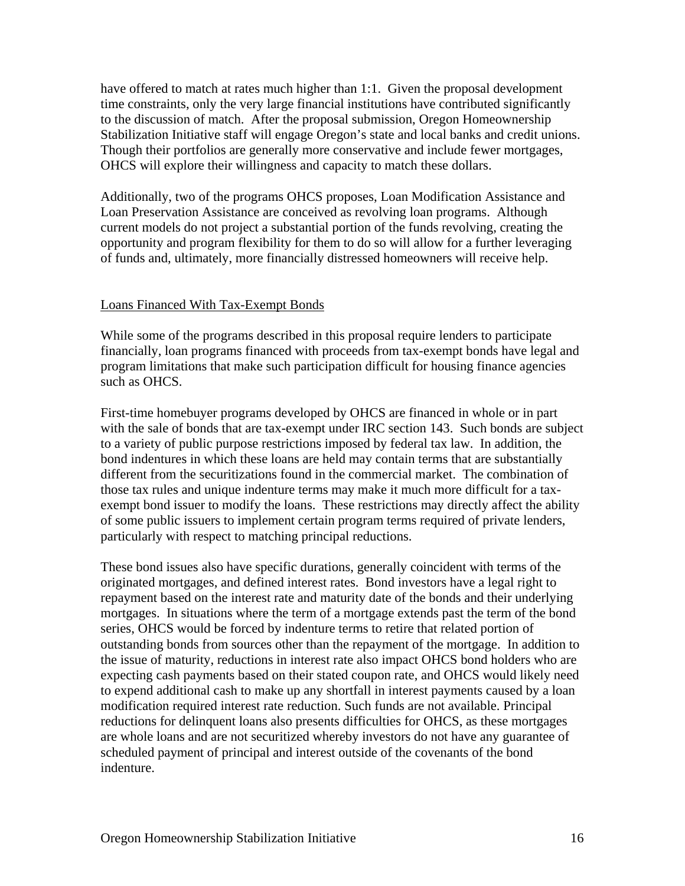have offered to match at rates much higher than 1:1. Given the proposal development time constraints, only the very large financial institutions have contributed significantly to the discussion of match. After the proposal submission, Oregon Homeownership Stabilization Initiative staff will engage Oregon's state and local banks and credit unions. Though their portfolios are generally more conservative and include fewer mortgages, OHCS will explore their willingness and capacity to match these dollars.

Additionally, two of the programs OHCS proposes, Loan Modification Assistance and Loan Preservation Assistance are conceived as revolving loan programs. Although current models do not project a substantial portion of the funds revolving, creating the opportunity and program flexibility for them to do so will allow for a further leveraging of funds and, ultimately, more financially distressed homeowners will receive help.

#### Loans Financed With Tax-Exempt Bonds

While some of the programs described in this proposal require lenders to participate financially, loan programs financed with proceeds from tax-exempt bonds have legal and program limitations that make such participation difficult for housing finance agencies such as OHCS.

First-time homebuyer programs developed by OHCS are financed in whole or in part with the sale of bonds that are tax-exempt under IRC section 143. Such bonds are subject to a variety of public purpose restrictions imposed by federal tax law. In addition, the bond indentures in which these loans are held may contain terms that are substantially different from the securitizations found in the commercial market. The combination of those tax rules and unique indenture terms may make it much more difficult for a taxexempt bond issuer to modify the loans. These restrictions may directly affect the ability of some public issuers to implement certain program terms required of private lenders, particularly with respect to matching principal reductions.

These bond issues also have specific durations, generally coincident with terms of the originated mortgages, and defined interest rates. Bond investors have a legal right to repayment based on the interest rate and maturity date of the bonds and their underlying mortgages. In situations where the term of a mortgage extends past the term of the bond series, OHCS would be forced by indenture terms to retire that related portion of outstanding bonds from sources other than the repayment of the mortgage. In addition to the issue of maturity, reductions in interest rate also impact OHCS bond holders who are expecting cash payments based on their stated coupon rate, and OHCS would likely need to expend additional cash to make up any shortfall in interest payments caused by a loan modification required interest rate reduction. Such funds are not available. Principal reductions for delinquent loans also presents difficulties for OHCS, as these mortgages are whole loans and are not securitized whereby investors do not have any guarantee of scheduled payment of principal and interest outside of the covenants of the bond indenture.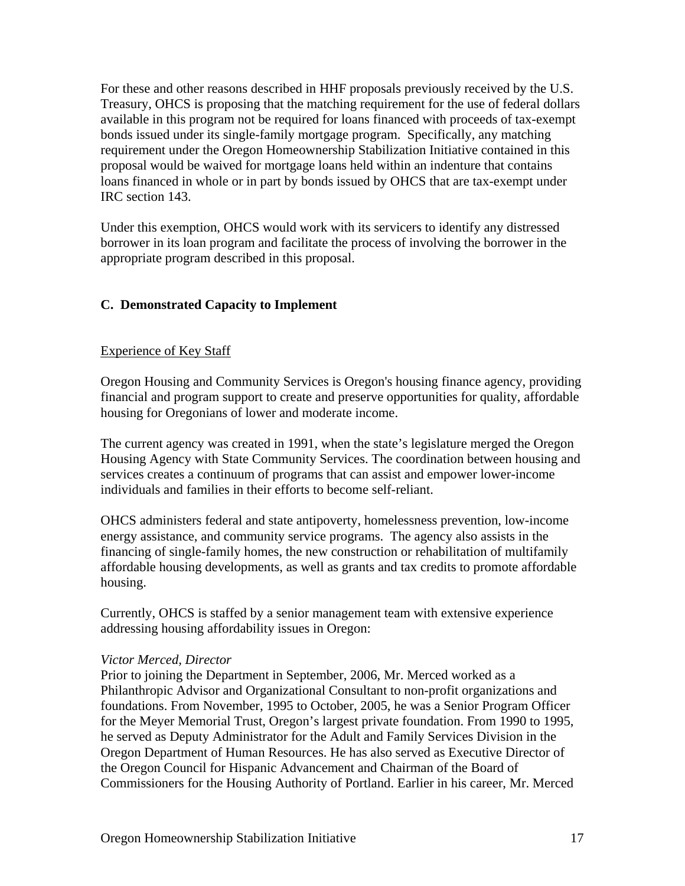For these and other reasons described in HHF proposals previously received by the U.S. Treasury, OHCS is proposing that the matching requirement for the use of federal dollars available in this program not be required for loans financed with proceeds of tax-exempt bonds issued under its single-family mortgage program. Specifically, any matching requirement under the Oregon Homeownership Stabilization Initiative contained in this proposal would be waived for mortgage loans held within an indenture that contains loans financed in whole or in part by bonds issued by OHCS that are tax-exempt under IRC section 143.

Under this exemption, OHCS would work with its servicers to identify any distressed borrower in its loan program and facilitate the process of involving the borrower in the appropriate program described in this proposal.

# **C. Demonstrated Capacity to Implement**

### Experience of Key Staff

Oregon Housing and Community Services is Oregon's housing finance agency, providing financial and program support to create and preserve opportunities for quality, affordable housing for Oregonians of lower and moderate income.

The current agency was created in 1991, when the state's legislature merged the Oregon Housing Agency with State Community Services. The coordination between housing and services creates a continuum of programs that can assist and empower lower-income individuals and families in their efforts to become self-reliant.

OHCS administers federal and state antipoverty, homelessness prevention, low-income energy assistance, and community service programs. The agency also assists in the financing of single-family homes, the new construction or rehabilitation of multifamily affordable housing developments, as well as grants and tax credits to promote affordable housing.

Currently, OHCS is staffed by a senior management team with extensive experience addressing housing affordability issues in Oregon:

#### *Victor Merced, Director*

Prior to joining the Department in September, 2006, Mr. Merced worked as a Philanthropic Advisor and Organizational Consultant to non-profit organizations and foundations. From November, 1995 to October, 2005, he was a Senior Program Officer for the Meyer Memorial Trust, Oregon's largest private foundation. From 1990 to 1995, he served as Deputy Administrator for the Adult and Family Services Division in the Oregon Department of Human Resources. He has also served as Executive Director of the Oregon Council for Hispanic Advancement and Chairman of the Board of Commissioners for the Housing Authority of Portland. Earlier in his career, Mr. Merced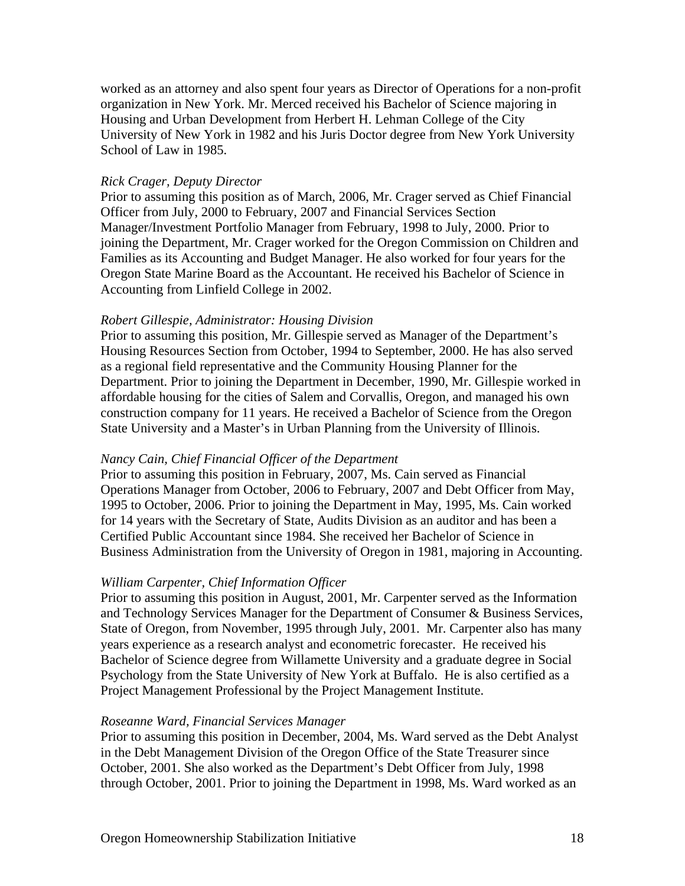worked as an attorney and also spent four years as Director of Operations for a non-profit organization in New York. Mr. Merced received his Bachelor of Science majoring in Housing and Urban Development from Herbert H. Lehman College of the City University of New York in 1982 and his Juris Doctor degree from New York University School of Law in 1985.

#### *Rick Crager, Deputy Director*

Prior to assuming this position as of March, 2006, Mr. Crager served as Chief Financial Officer from July, 2000 to February, 2007 and Financial Services Section Manager/Investment Portfolio Manager from February, 1998 to July, 2000. Prior to joining the Department, Mr. Crager worked for the Oregon Commission on Children and Families as its Accounting and Budget Manager. He also worked for four years for the Oregon State Marine Board as the Accountant. He received his Bachelor of Science in Accounting from Linfield College in 2002.

#### *Robert Gillespie, Administrator: Housing Division*

Prior to assuming this position, Mr. Gillespie served as Manager of the Department's Housing Resources Section from October, 1994 to September, 2000. He has also served as a regional field representative and the Community Housing Planner for the Department. Prior to joining the Department in December, 1990, Mr. Gillespie worked in affordable housing for the cities of Salem and Corvallis, Oregon, and managed his own construction company for 11 years. He received a Bachelor of Science from the Oregon State University and a Master's in Urban Planning from the University of Illinois.

#### *Nancy Cain, Chief Financial Officer of the Department*

Prior to assuming this position in February, 2007, Ms. Cain served as Financial Operations Manager from October, 2006 to February, 2007 and Debt Officer from May, 1995 to October, 2006. Prior to joining the Department in May, 1995, Ms. Cain worked for 14 years with the Secretary of State, Audits Division as an auditor and has been a Certified Public Accountant since 1984. She received her Bachelor of Science in Business Administration from the University of Oregon in 1981, majoring in Accounting.

#### *William Carpenter, Chief Information Officer*

Prior to assuming this position in August, 2001, Mr. Carpenter served as the Information and Technology Services Manager for the Department of Consumer & Business Services, State of Oregon, from November, 1995 through July, 2001. Mr. Carpenter also has many years experience as a research analyst and econometric forecaster. He received his Bachelor of Science degree from Willamette University and a graduate degree in Social Psychology from the State University of New York at Buffalo. He is also certified as a Project Management Professional by the Project Management Institute.

#### *Roseanne Ward, Financial Services Manager*

Prior to assuming this position in December, 2004, Ms. Ward served as the Debt Analyst in the Debt Management Division of the Oregon Office of the State Treasurer since October, 2001. She also worked as the Department's Debt Officer from July, 1998 through October, 2001. Prior to joining the Department in 1998, Ms. Ward worked as an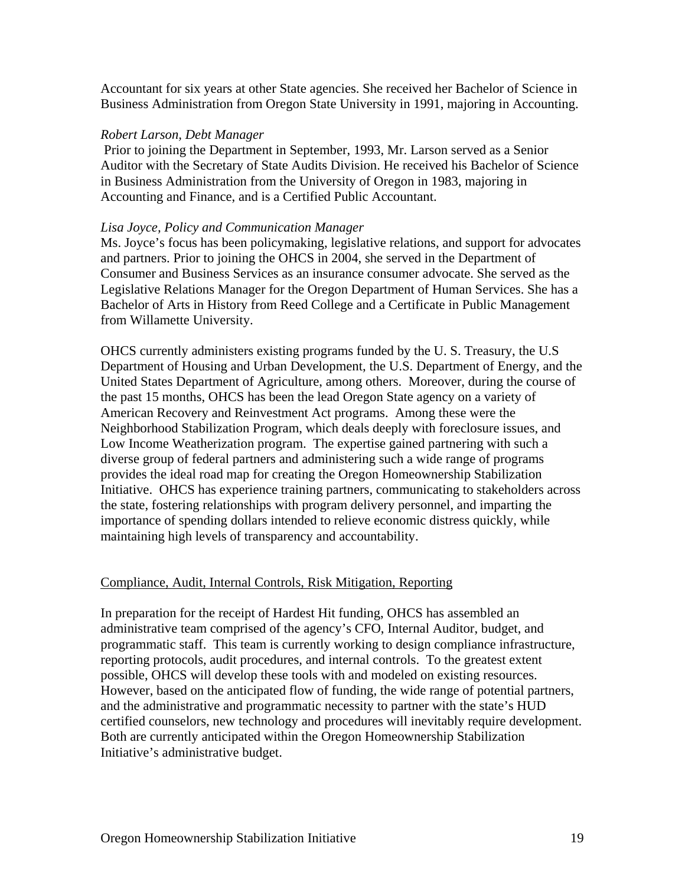Accountant for six years at other State agencies. She received her Bachelor of Science in Business Administration from Oregon State University in 1991, majoring in Accounting.

#### *Robert Larson, Debt Manager*

 Prior to joining the Department in September, 1993, Mr. Larson served as a Senior Auditor with the Secretary of State Audits Division. He received his Bachelor of Science in Business Administration from the University of Oregon in 1983, majoring in Accounting and Finance, and is a Certified Public Accountant.

#### *Lisa Joyce, Policy and Communication Manager*

Ms. Joyce's focus has been policymaking, legislative relations, and support for advocates and partners. Prior to joining the OHCS in 2004, she served in the Department of Consumer and Business Services as an insurance consumer advocate. She served as the Legislative Relations Manager for the Oregon Department of Human Services. She has a Bachelor of Arts in History from Reed College and a Certificate in Public Management from Willamette University.

OHCS currently administers existing programs funded by the U. S. Treasury, the U.S Department of Housing and Urban Development, the U.S. Department of Energy, and the United States Department of Agriculture, among others. Moreover, during the course of the past 15 months, OHCS has been the lead Oregon State agency on a variety of American Recovery and Reinvestment Act programs. Among these were the Neighborhood Stabilization Program, which deals deeply with foreclosure issues, and Low Income Weatherization program. The expertise gained partnering with such a diverse group of federal partners and administering such a wide range of programs provides the ideal road map for creating the Oregon Homeownership Stabilization Initiative. OHCS has experience training partners, communicating to stakeholders across the state, fostering relationships with program delivery personnel, and imparting the importance of spending dollars intended to relieve economic distress quickly, while maintaining high levels of transparency and accountability.

#### Compliance, Audit, Internal Controls, Risk Mitigation, Reporting

In preparation for the receipt of Hardest Hit funding, OHCS has assembled an administrative team comprised of the agency's CFO, Internal Auditor, budget, and programmatic staff. This team is currently working to design compliance infrastructure, reporting protocols, audit procedures, and internal controls. To the greatest extent possible, OHCS will develop these tools with and modeled on existing resources. However, based on the anticipated flow of funding, the wide range of potential partners, and the administrative and programmatic necessity to partner with the state's HUD certified counselors, new technology and procedures will inevitably require development. Both are currently anticipated within the Oregon Homeownership Stabilization Initiative's administrative budget.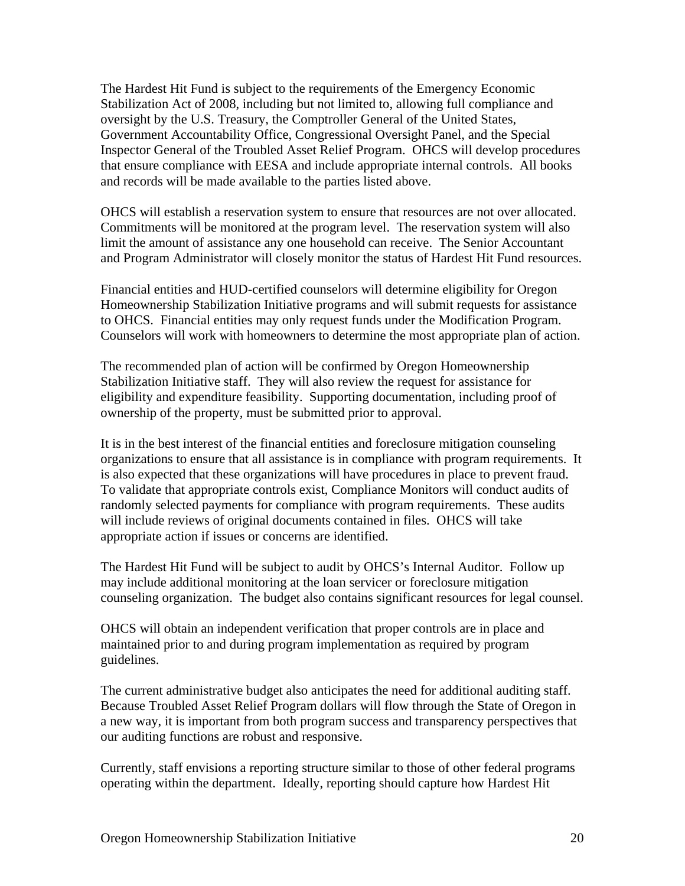The Hardest Hit Fund is subject to the requirements of the Emergency Economic Stabilization Act of 2008, including but not limited to, allowing full compliance and oversight by the U.S. Treasury, the Comptroller General of the United States, Government Accountability Office, Congressional Oversight Panel, and the Special Inspector General of the Troubled Asset Relief Program. OHCS will develop procedures that ensure compliance with EESA and include appropriate internal controls. All books and records will be made available to the parties listed above.

OHCS will establish a reservation system to ensure that resources are not over allocated. Commitments will be monitored at the program level. The reservation system will also limit the amount of assistance any one household can receive. The Senior Accountant and Program Administrator will closely monitor the status of Hardest Hit Fund resources.

Financial entities and HUD-certified counselors will determine eligibility for Oregon Homeownership Stabilization Initiative programs and will submit requests for assistance to OHCS. Financial entities may only request funds under the Modification Program. Counselors will work with homeowners to determine the most appropriate plan of action.

The recommended plan of action will be confirmed by Oregon Homeownership Stabilization Initiative staff. They will also review the request for assistance for eligibility and expenditure feasibility. Supporting documentation, including proof of ownership of the property, must be submitted prior to approval.

It is in the best interest of the financial entities and foreclosure mitigation counseling organizations to ensure that all assistance is in compliance with program requirements. It is also expected that these organizations will have procedures in place to prevent fraud. To validate that appropriate controls exist, Compliance Monitors will conduct audits of randomly selected payments for compliance with program requirements. These audits will include reviews of original documents contained in files. OHCS will take appropriate action if issues or concerns are identified.

The Hardest Hit Fund will be subject to audit by OHCS's Internal Auditor. Follow up may include additional monitoring at the loan servicer or foreclosure mitigation counseling organization. The budget also contains significant resources for legal counsel.

OHCS will obtain an independent verification that proper controls are in place and maintained prior to and during program implementation as required by program guidelines.

The current administrative budget also anticipates the need for additional auditing staff. Because Troubled Asset Relief Program dollars will flow through the State of Oregon in a new way, it is important from both program success and transparency perspectives that our auditing functions are robust and responsive.

Currently, staff envisions a reporting structure similar to those of other federal programs operating within the department. Ideally, reporting should capture how Hardest Hit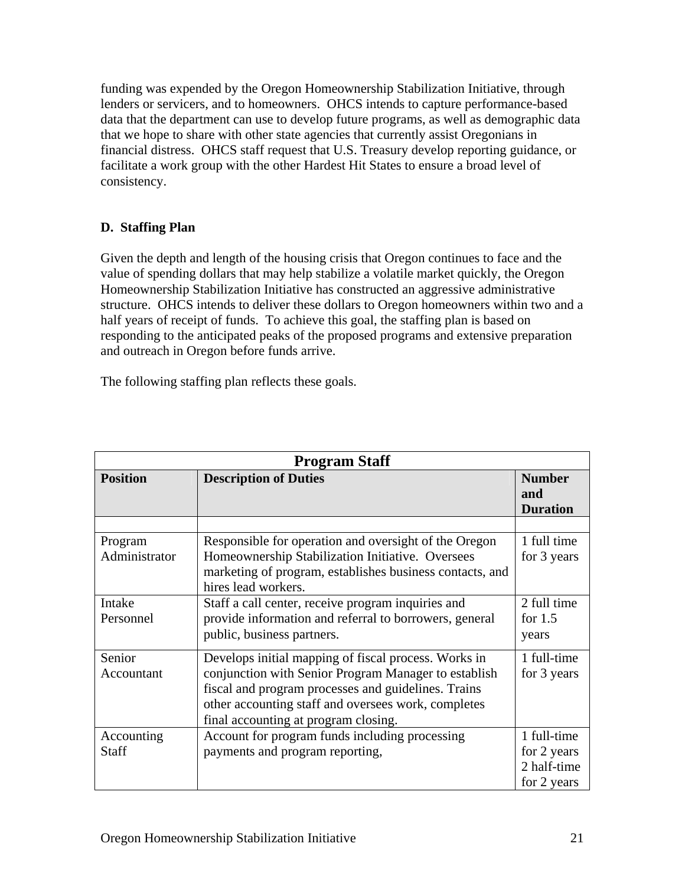funding was expended by the Oregon Homeownership Stabilization Initiative, through lenders or servicers, and to homeowners. OHCS intends to capture performance-based data that the department can use to develop future programs, as well as demographic data that we hope to share with other state agencies that currently assist Oregonians in financial distress. OHCS staff request that U.S. Treasury develop reporting guidance, or facilitate a work group with the other Hardest Hit States to ensure a broad level of consistency.

# **D. Staffing Plan**

Given the depth and length of the housing crisis that Oregon continues to face and the value of spending dollars that may help stabilize a volatile market quickly, the Oregon Homeownership Stabilization Initiative has constructed an aggressive administrative structure. OHCS intends to deliver these dollars to Oregon homeowners within two and a half years of receipt of funds. To achieve this goal, the staffing plan is based on responding to the anticipated peaks of the proposed programs and extensive preparation and outreach in Oregon before funds arrive.

The following staffing plan reflects these goals.

| <b>Program Staff</b>       |                                                                                                                                                                                                                                                                    |                                                          |  |  |
|----------------------------|--------------------------------------------------------------------------------------------------------------------------------------------------------------------------------------------------------------------------------------------------------------------|----------------------------------------------------------|--|--|
| <b>Position</b>            | <b>Description of Duties</b>                                                                                                                                                                                                                                       | <b>Number</b><br>and<br><b>Duration</b>                  |  |  |
|                            |                                                                                                                                                                                                                                                                    |                                                          |  |  |
| Program<br>Administrator   | Responsible for operation and oversight of the Oregon<br>Homeownership Stabilization Initiative. Oversees<br>marketing of program, establishes business contacts, and<br>hires lead workers.                                                                       | 1 full time<br>for 3 years                               |  |  |
| Intake<br>Personnel        | Staff a call center, receive program inquiries and<br>provide information and referral to borrowers, general<br>public, business partners.                                                                                                                         | 2 full time<br>for $1.5$<br>years                        |  |  |
| Senior<br>Accountant       | Develops initial mapping of fiscal process. Works in<br>conjunction with Senior Program Manager to establish<br>fiscal and program processes and guidelines. Trains<br>other accounting staff and oversees work, completes<br>final accounting at program closing. | 1 full-time<br>for 3 years                               |  |  |
| Accounting<br><b>Staff</b> | Account for program funds including processing<br>payments and program reporting,                                                                                                                                                                                  | 1 full-time<br>for 2 years<br>2 half-time<br>for 2 years |  |  |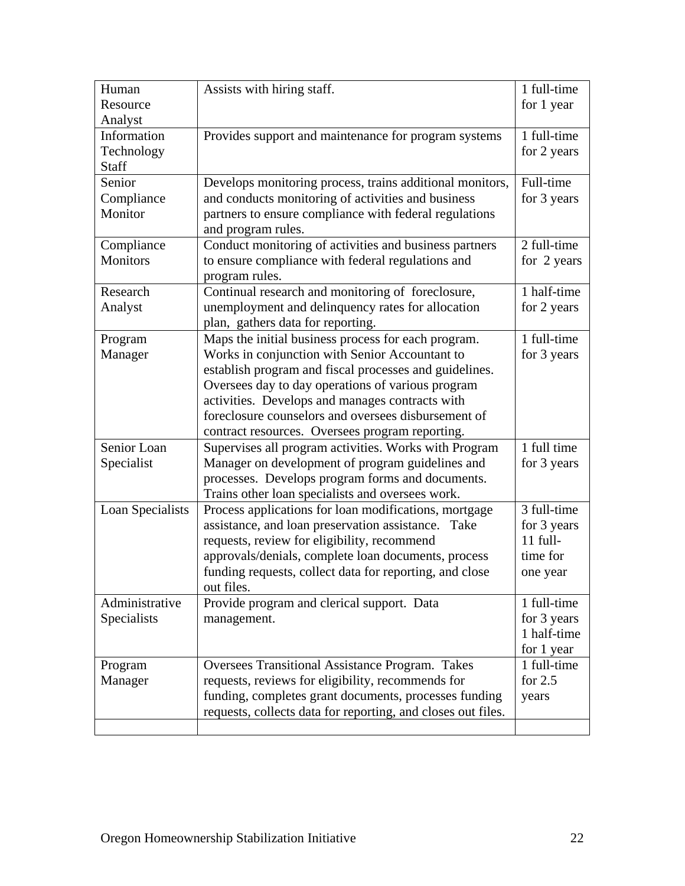| Human            | Assists with hiring staff.                                   | 1 full-time |
|------------------|--------------------------------------------------------------|-------------|
| Resource         |                                                              | for 1 year  |
| Analyst          |                                                              |             |
| Information      | Provides support and maintenance for program systems         | 1 full-time |
| Technology       |                                                              | for 2 years |
| <b>Staff</b>     |                                                              |             |
| Senior           | Develops monitoring process, trains additional monitors,     | Full-time   |
| Compliance       | and conducts monitoring of activities and business           | for 3 years |
| Monitor          | partners to ensure compliance with federal regulations       |             |
|                  | and program rules.                                           |             |
| Compliance       | Conduct monitoring of activities and business partners       | 2 full-time |
| <b>Monitors</b>  | to ensure compliance with federal regulations and            | for 2 years |
|                  | program rules.                                               |             |
| Research         | Continual research and monitoring of foreclosure,            | 1 half-time |
| Analyst          | unemployment and delinquency rates for allocation            | for 2 years |
|                  | plan, gathers data for reporting.                            |             |
| Program          | Maps the initial business process for each program.          | 1 full-time |
| Manager          | Works in conjunction with Senior Accountant to               | for 3 years |
|                  | establish program and fiscal processes and guidelines.       |             |
|                  | Oversees day to day operations of various program            |             |
|                  | activities. Develops and manages contracts with              |             |
|                  | foreclosure counselors and oversees disbursement of          |             |
|                  | contract resources. Oversees program reporting.              |             |
| Senior Loan      | Supervises all program activities. Works with Program        | 1 full time |
| Specialist       | Manager on development of program guidelines and             | for 3 years |
|                  | processes. Develops program forms and documents.             |             |
|                  | Trains other loan specialists and oversees work.             |             |
| Loan Specialists | Process applications for loan modifications, mortgage        | 3 full-time |
|                  | assistance, and loan preservation assistance. Take           | for 3 years |
|                  | requests, review for eligibility, recommend                  | $11$ full-  |
|                  | approvals/denials, complete loan documents, process          | time for    |
|                  | funding requests, collect data for reporting, and close      | one year    |
|                  | out files.                                                   |             |
| Administrative   | Provide program and clerical support. Data                   | 1 full-time |
| Specialists      | management.                                                  | for 3 years |
|                  |                                                              | 1 half-time |
|                  |                                                              | for 1 year  |
| Program          | Oversees Transitional Assistance Program. Takes              | 1 full-time |
| Manager          | requests, reviews for eligibility, recommends for            | for $2.5$   |
|                  | funding, completes grant documents, processes funding        | years       |
|                  | requests, collects data for reporting, and closes out files. |             |
|                  |                                                              |             |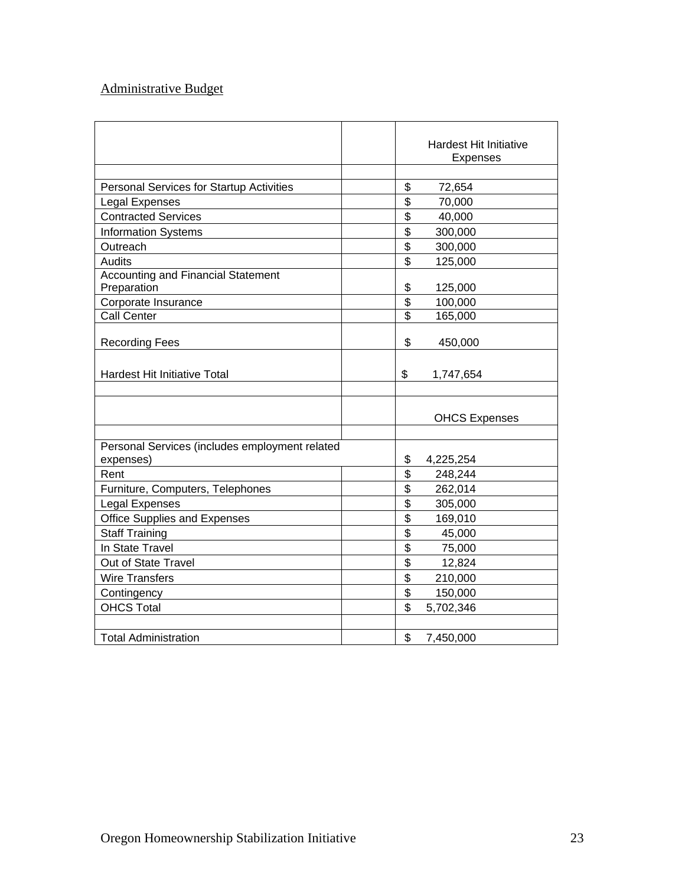# Administrative Budget

|                                                |                          | <b>Hardest Hit Initiative</b><br><b>Expenses</b> |
|------------------------------------------------|--------------------------|--------------------------------------------------|
|                                                |                          |                                                  |
| Personal Services for Startup Activities       | \$                       | 72,654                                           |
| <b>Legal Expenses</b>                          | \$                       | 70,000                                           |
| <b>Contracted Services</b>                     | \$                       | 40,000                                           |
| <b>Information Systems</b>                     | \$                       | 300,000                                          |
| Outreach                                       | \$                       | 300,000                                          |
| Audits                                         | \$                       | 125,000                                          |
| <b>Accounting and Financial Statement</b>      |                          |                                                  |
| Preparation                                    | \$                       | 125,000                                          |
| Corporate Insurance                            | \$                       | 100,000                                          |
| Call Center                                    | $\overline{\mathcal{S}}$ | 165,000                                          |
|                                                |                          |                                                  |
| <b>Recording Fees</b>                          | \$                       | 450,000                                          |
|                                                |                          |                                                  |
| Hardest Hit Initiative Total                   | \$                       | 1,747,654                                        |
|                                                |                          |                                                  |
|                                                |                          |                                                  |
|                                                |                          | <b>OHCS Expenses</b>                             |
| Personal Services (includes employment related |                          |                                                  |
| expenses)                                      | \$                       | 4,225,254                                        |
| Rent                                           | \$                       | 248,244                                          |
| Furniture, Computers, Telephones               | \$                       | 262,014                                          |
| Legal Expenses                                 | \$                       | 305,000                                          |
| Office Supplies and Expenses                   | \$                       | 169,010                                          |
| <b>Staff Training</b>                          | \$                       | 45,000                                           |
| In State Travel                                | \$                       | 75,000                                           |
| Out of State Travel                            | \$                       | 12,824                                           |
| <b>Wire Transfers</b>                          | \$                       | 210,000                                          |
| Contingency                                    | \$                       | 150,000                                          |
| <b>OHCS Total</b>                              | \$                       | 5,702,346                                        |
|                                                |                          |                                                  |
| <b>Total Administration</b>                    | \$                       | 7,450,000                                        |
|                                                |                          |                                                  |